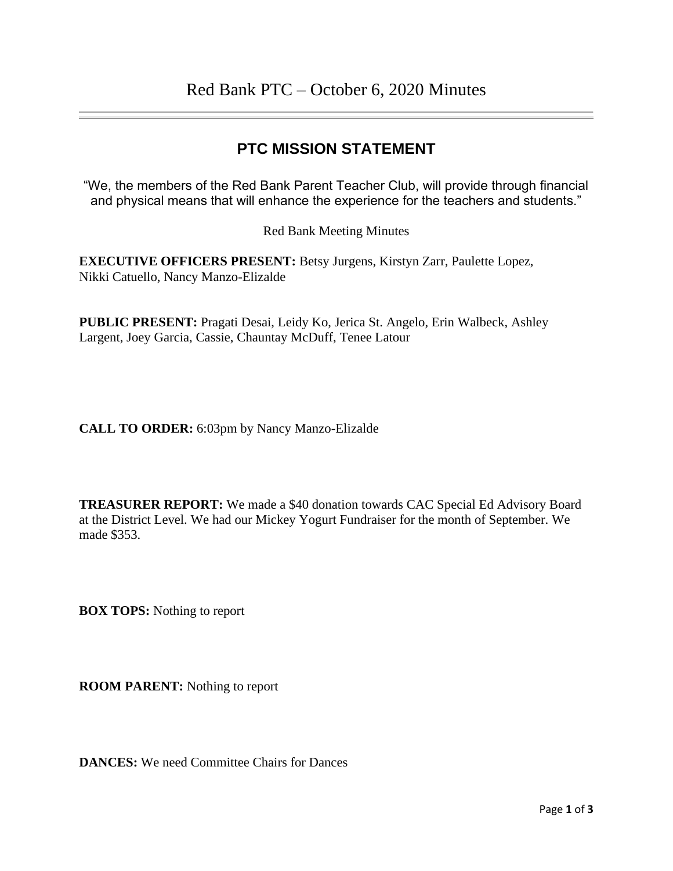## **PTC MISSION STATEMENT**

"We, the members of the Red Bank Parent Teacher Club, will provide through financial and physical means that will enhance the experience for the teachers and students."

Red Bank Meeting Minutes

**EXECUTIVE OFFICERS PRESENT:** Betsy Jurgens, Kirstyn Zarr, Paulette Lopez, Nikki Catuello, Nancy Manzo-Elizalde

**PUBLIC PRESENT:** Pragati Desai, Leidy Ko, Jerica St. Angelo, Erin Walbeck, Ashley Largent, Joey Garcia, Cassie, Chauntay McDuff, Tenee Latour

**CALL TO ORDER:** 6:03pm by Nancy Manzo-Elizalde

**TREASURER REPORT:** We made a \$40 donation towards CAC Special Ed Advisory Board at the District Level. We had our Mickey Yogurt Fundraiser for the month of September. We made \$353.

**BOX TOPS:** Nothing to report

**ROOM PARENT:** Nothing to report

**DANCES:** We need Committee Chairs for Dances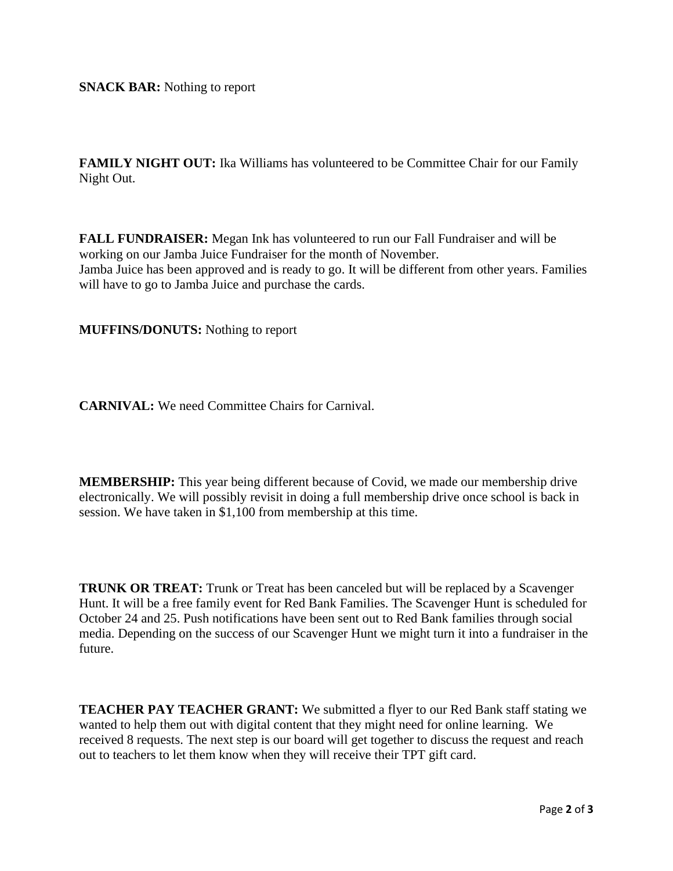**SNACK BAR:** Nothing to report

FAMILY NIGHT OUT: Ika Williams has volunteered to be Committee Chair for our Family Night Out.

**FALL FUNDRAISER:** Megan Ink has volunteered to run our Fall Fundraiser and will be working on our Jamba Juice Fundraiser for the month of November. Jamba Juice has been approved and is ready to go. It will be different from other years. Families will have to go to Jamba Juice and purchase the cards.

**MUFFINS/DONUTS:** Nothing to report

**CARNIVAL:** We need Committee Chairs for Carnival.

**MEMBERSHIP:** This year being different because of Covid, we made our membership drive electronically. We will possibly revisit in doing a full membership drive once school is back in session. We have taken in \$1,100 from membership at this time.

**TRUNK OR TREAT:** Trunk or Treat has been canceled but will be replaced by a Scavenger Hunt. It will be a free family event for Red Bank Families. The Scavenger Hunt is scheduled for October 24 and 25. Push notifications have been sent out to Red Bank families through social media. Depending on the success of our Scavenger Hunt we might turn it into a fundraiser in the future.

**TEACHER PAY TEACHER GRANT:** We submitted a flyer to our Red Bank staff stating we wanted to help them out with digital content that they might need for online learning. We received 8 requests. The next step is our board will get together to discuss the request and reach out to teachers to let them know when they will receive their TPT gift card.